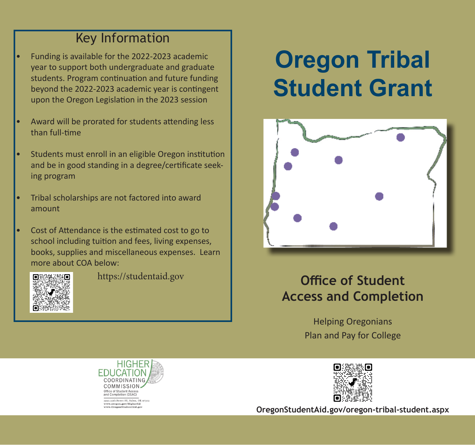### Key Information

- Funding is available for the 2022-2023 academic year to support both undergraduate and graduate students. Program continuation and future funding beyond the 2022-2023 academic year is contingent upon the Oregon Legislation in the 2023 session
- Award will be prorated for students attending less than full-time
- Students must enroll in an eligible Oregon institution and be in good standing in a degree/certificate seeking program
- Tribal scholarships are not factored into award amount
- Cost of Attendance is the estimated cost to go to school including tuition and fees, living expenses, books, supplies and miscellaneous expenses. Learn more about COA below:



# **Oregon Tribal Student Grant**



### https://studentaid.gov **Chice of Student Access and Completion**

Helping Oregonians Plan and Pay for College





**OregonStudentAid.gov/oregon-tribal-student.aspx**